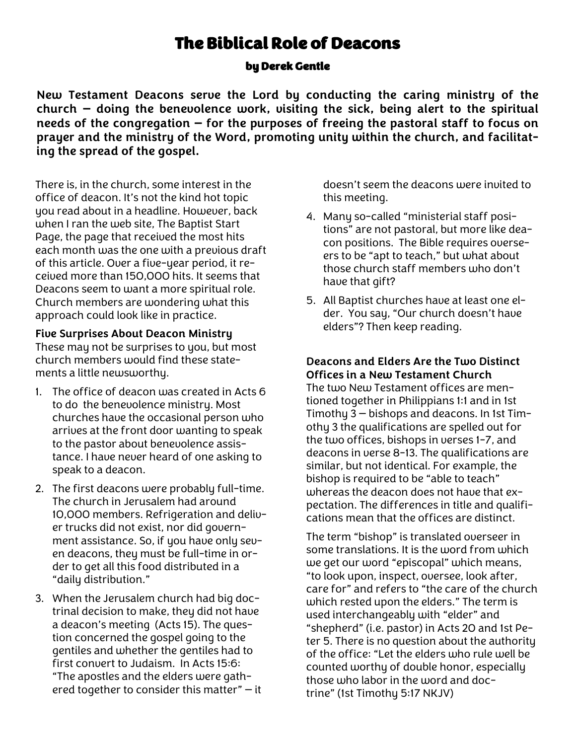# The Biblical Role of Deacons

by Derek Gentle

**New Testament Deacons serve the Lord by conducting the caring ministry of the church — doing the benevolence work, visiting the sick, being alert to the spiritual needs of the congregation — for the purposes of freeing the pastoral staff to focus on prayer and the ministry of the Word, promoting unity within the church, and facilitating the spread of the gospel.**

There is, in the church, some interest in the office of deacon. It's not the kind hot topic you read about in a headline. However, back when I ran the web site, The Baptist Start Page, the page that received the most hits each month was the one with a previous draft of this article. Over a five-year period, it received more than 150,000 hits. It seems that Deacons seem to want a more spiritual role. Church members are wondering what this approach could look like in practice.

**Five Surprises About Deacon Ministry**

These may not be surprises to you, but most church members would find these statements a little newsworthy.

- 1. The office of deacon was created in Acts 6 to do the benevolence ministry. Most churches have the occasional person who arrives at the front door wanting to speak to the pastor about benevolence assistance. I have never heard of one asking to speak to a deacon.
- 2. The first deacons were probably full-time. The church in Jerusalem had around 10,000 members. Refrigeration and deliver trucks did not exist, nor did government assistance. So, if you have only seven deacons, they must be full-time in order to get all this food distributed in a "daily distribution."
- 3. When the Jerusalem church had big doctrinal decision to make, they did not have a deacon's meeting (Acts 15). The question concerned the gospel going to the gentiles and whether the gentiles had to first convert to Judaism. In Acts 15:6: "The apostles and the elders were gathered together to consider this matter" — it

doesn't seem the deacons were invited to this meeting.

- 4. Many so-called "ministerial staff positions" are not pastoral, but more like deacon positions. The Bible requires overseers to be "apt to teach," but what about those church staff members who don't have that gift?
- 5. All Baptist churches have at least one elder. You say, "Our church doesn't have elders"? Then keep reading.

**Deacons and Elders Are the Two Distinct Offices in a New Testament Church**

The two New Testament offices are mentioned together in Philippians 1:1 and in 1st Timothy 3 — bishops and deacons. In 1st Timothy 3 the qualifications are spelled out for the two offices, bishops in verses 1-7, and deacons in verse 8-13. The qualifications are similar, but not identical. For example, the bishop is required to be "able to teach" whereas the deacon does not have that expectation. The differences in title and qualifications mean that the offices are distinct.

The term "bishop" is translated overseer in some translations. It is the word from which we get our word "episcopal" which means, "to look upon, inspect, oversee, look after, care for" and refers to "the care of the church which rested upon the elders." The term is used interchangeably with "elder" and "shepherd" (i.e. pastor) in Acts 20 and 1st Peter 5. There is no question about the authority of the office: "Let the elders who rule well be counted worthy of double honor, especially those who labor in the word and doctrine" (1st Timothy 5:17 NKJV)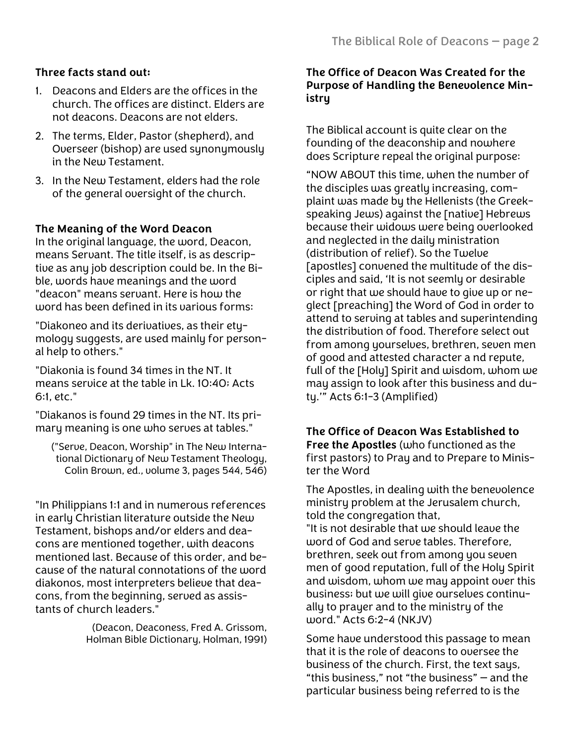# **Three facts stand out:**

- 1. Deacons and Elders are the offices in the church. The offices are distinct. Elders are not deacons. Deacons are not elders.
- 2. The terms, Elder, Pastor (shepherd), and Overseer (bishop) are used synonymously in the New Testament.
- 3. In the New Testament, elders had the role of the general oversight of the church.

### **The Meaning of the Word Deacon**

In the original language, the word, Deacon, means Servant. The title itself, is as descriptive as any job description could be. In the Bible, words have meanings and the word "deacon" means servant. Here is how the word has been defined in its various forms:

"Diakoneo and its derivatives, as their etymology suggests, are used mainly for personal help to others."

"Diakonia is found 34 times in the NT. It means service at the table in Lk. 10:40; Acts 6:1, etc."

"Diakanos is found 29 times in the NT. Its primary meaning is one who serves at tables."

("Serve, Deacon, Worship" in The New International Dictionary of New Testament Theology, Colin Brown, ed., volume 3, pages 544, 546)

"In Philippians 1:1 and in numerous references in early Christian literature outside the New Testament, bishops and/or elders and deacons are mentioned together, with deacons mentioned last. Because of this order, and because of the natural connotations of the word diakonos, most interpreters believe that deacons, from the beginning, served as assistants of church leaders."

> (Deacon, Deaconess, Fred A. Grissom, Holman Bible Dictionary, Holman, 1991)

#### **The Office of Deacon Was Created for the Purpose of Handling the Benevolence Ministry**

The Biblical account is quite clear on the founding of the deaconship and nowhere does Scripture repeal the original purpose:

"NOW ABOUT this time, when the number of the disciples was greatly increasing, complaint was made by the Hellenists (the Greekspeaking Jews) against the [native] Hebrews because their widows were being overlooked and neglected in the daily ministration (distribution of relief). So the Twelve [apostles] convened the multitude of the disciples and said, 'It is not seemly or desirable or right that we should have to give up or neglect [preaching] the Word of God in order to attend to serving at tables and superintending the distribution of food. Therefore select out from among yourselves, brethren, seven men of good and attested character a nd repute, full of the [Holy] Spirit and wisdom, whom we may assign to look after this business and duty.'" Acts 6:1-3 (Amplified)

# **The Office of Deacon Was Established to**

**Free the Apostles** (who functioned as the first pastors) to Pray and to Prepare to Minister the Word

The Apostles, in dealing with the benevolence ministry problem at the Jerusalem church, told the congregation that,

"It is not desirable that we should leave the word of God and serve tables. Therefore, brethren, seek out from among you seven men of good reputation, full of the Holy Spirit and wisdom, whom we may appoint over this business; but we will give ourselves continually to prayer and to the ministry of the word." Acts 6:2-4 (NKJV)

Some have understood this passage to mean that it is the role of deacons to oversee the business of the church. First, the text saus. "this business," not "the business" — and the particular business being referred to is the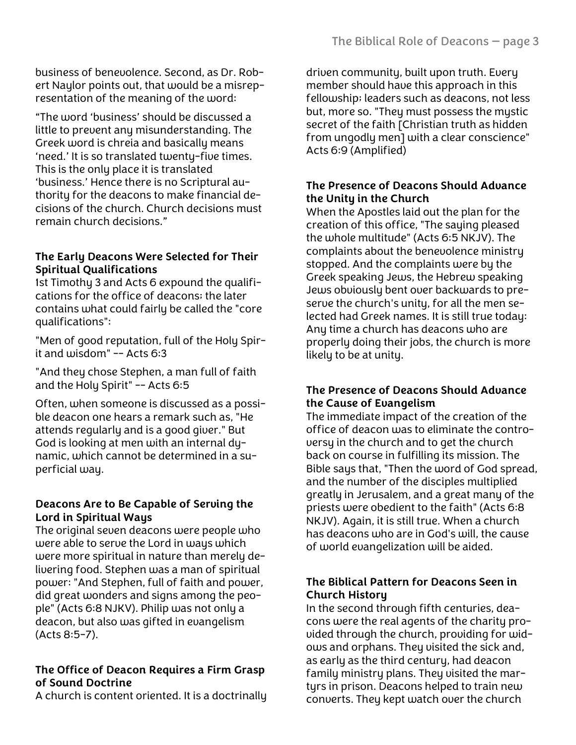business of benevolence. Second, as Dr. Robert Naylor points out, that would be a misrepresentation of the meaning of the word:

"The word 'business' should be discussed a little to prevent any misunderstanding. The Greek word is chreia and basically means 'need.' It is so translated twenty-five times. This is the only place it is translated 'business.' Hence there is no Scriptural authority for the deacons to make financial decisions of the church. Church decisions must remain church decisions."

## **The Early Deacons Were Selected for Their Spiritual Qualifications**

1st Timothy 3 and Acts 6 expound the qualifications for the office of deacons; the later contains what could fairly be called the "core qualifications":

"Men of good reputation, full of the Holy Spirit and wisdom" -- Acts 6:3

"And they chose Stephen, a man full of faith and the Holy Spirit" -- Acts 6:5

Often, when someone is discussed as a possible deacon one hears a remark such as, "He attends regularly and is a good giver." But God is looking at men with an internal dynamic, which cannot be determined in a superficial way.

### **Deacons Are to Be Capable of Serving the Lord in Spiritual Ways**

The original seven deacons were people who were able to serve the Lord in ways which were more spiritual in nature than merely delivering food. Stephen was a man of spiritual power: "And Stephen, full of faith and power, did great wonders and signs among the people" (Acts 6:8 NJKV). Philip was not only a deacon, but also was gifted in evangelism (Acts 8:5-7).

## **The Office of Deacon Requires a Firm Grasp of Sound Doctrine**

A church is content oriented. It is a doctrinally

driven community, built upon truth. Every member should have this approach in this fellowship; leaders such as deacons, not less but, more so. "They must possess the mystic secret of the faith [Christian truth as hidden from ungodly men] with a clear conscience" Acts 6:9 (Amplified)

### **The Presence of Deacons Should Advance the Unity in the Church**

When the Apostles laid out the plan for the creation of this office, "The saying pleased the whole multitude" (Acts 6:5 NKJV). The complaints about the benevolence ministry stopped. And the complaints were by the Greek speaking Jews, the Hebrew speaking Jews obviously bent over backwards to preserve the church's unity, for all the men selected had Greek names. It is still true today: Any time a church has deacons who are properly doing their jobs, the church is more likely to be at unity.

### **The Presence of Deacons Should Advance the Cause of Evangelism**

The immediate impact of the creation of the office of deacon was to eliminate the controversy in the church and to get the church back on course in fulfilling its mission. The Bible says that, "Then the word of God spread, and the number of the disciples multiplied greatly in Jerusalem, and a great many of the priests were obedient to the faith" (Acts 6:8 NKJV). Again, it is still true. When a church has deacons who are in God's will, the cause of world evangelization will be aided.

### **The Biblical Pattern for Deacons Seen in Church History**

In the second through fifth centuries, deacons were the real agents of the charity provided through the church, providing for widows and orphans. They visited the sick and, as early as the third century, had deacon family ministry plans. They visited the martyrs in prison. Deacons helped to train new converts. They kept watch over the church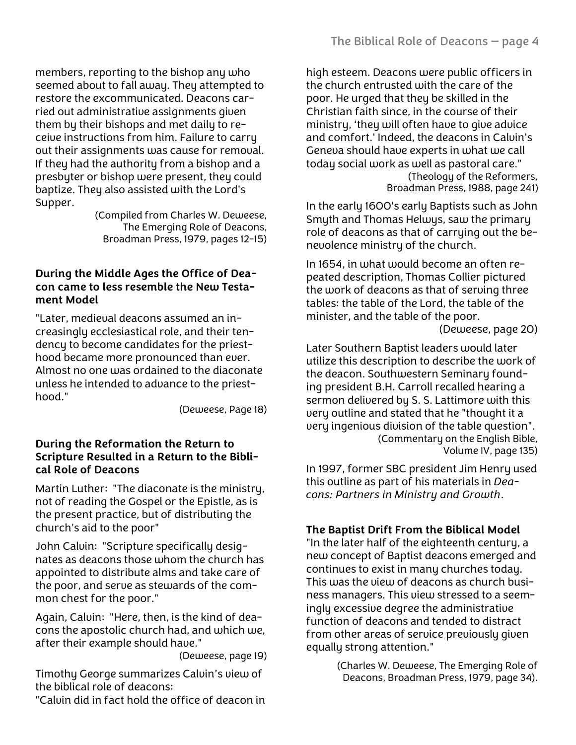members, reporting to the bishop any who seemed about to fall away. They attempted to restore the excommunicated. Deacons carried out administrative assignments given them by their bishops and met daily to receive instructions from him. Failure to carry out their assignments was cause for removal. If they had the authority from a bishop and a presbyter or bishop were present, they could baptize. They also assisted with the Lord's Supper.

(Compiled from Charles W. Deweese, The Emerging Role of Deacons, Broadman Press, 1979, pages 12-15)

#### **During the Middle Ages the Office of Deacon came to less resemble the New Testament Model**

"Later, medieval deacons assumed an increasingly ecclesiastical role, and their tendency to become candidates for the priesthood became more pronounced than ever. Almost no one was ordained to the diaconate unless he intended to advance to the priesthood."

(Deweese, Page 18)

#### **During the Reformation the Return to Scripture Resulted in a Return to the Biblical Role of Deacons**

Martin Luther: "The diaconate is the ministry, not of reading the Gospel or the Epistle, as is the present practice, but of distributing the church's aid to the poor"

John Calvin: "Scripture specifically designates as deacons those whom the church has appointed to distribute alms and take care of the poor, and serve as stewards of the common chest for the poor."

Again, Calvin: "Here, then, is the kind of deacons the apostolic church had, and which we, after their example should have."

(Deweese, page 19)

Timothy George summarizes Calvin's view of the biblical role of deacons:

"Calvin did in fact hold the office of deacon in

high esteem. Deacons were public officers in the church entrusted with the care of the poor. He urged that they be skilled in the Christian faith since, in the course of their ministry, 'they will often have to give advice and comfort.' Indeed, the deacons in Calvin's Geneva should have experts in what we call today social work as well as pastoral care." (Theology of the Reformers, Broadman Press, 1988, page 241)

In the early 1600's early Baptists such as John Smyth and Thomas Helwys, saw the primary role of deacons as that of carrying out the benevolence ministry of the church.

In 1654, in what would become an often repeated description, Thomas Collier pictured the work of deacons as that of serving three tables: the table of the Lord, the table of the minister, and the table of the poor.

(Deweese, page 20)

Later Southern Baptist leaders would later utilize this description to describe the work of the deacon. Southwestern Seminary founding president B.H. Carroll recalled hearing a sermon delivered by S. S. Lattimore with this very outline and stated that he "thought it a very ingenious division of the table question". (Commentary on the English Bible, Volume IV, page 135)

In 1997, former SBC president Jim Henry used this outline as part of his materials in *Deacons: Partners in Ministry and Growth*.

## **The Baptist Drift From the Biblical Model**

"In the later half of the eighteenth century, a new concept of Baptist deacons emerged and continues to exist in many churches today. This was the view of deacons as church business managers. This view stressed to a seemingly excessive degree the administrative function of deacons and tended to distract from other areas of service previously given equally strong attention."

> (Charles W. Deweese, The Emerging Role of Deacons, Broadman Press, 1979, page 34).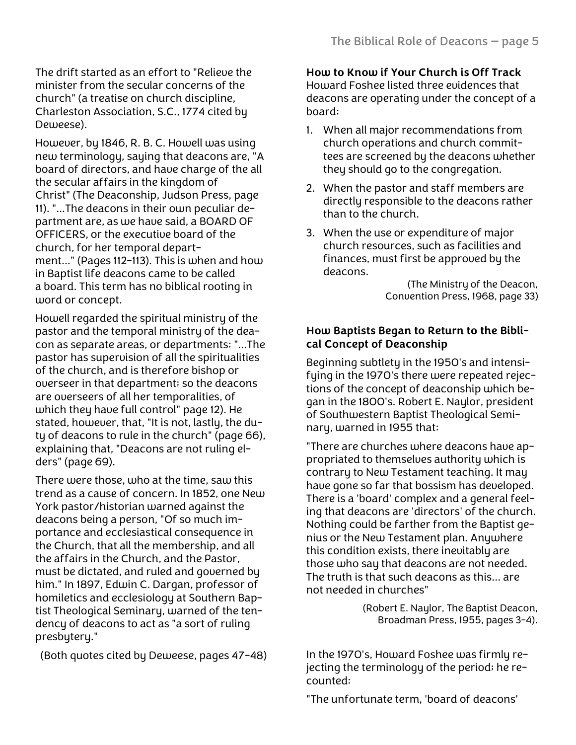The drift started as an effort to "Relieve the minister from the secular concerns of the church" (a treatise on church discipline, Charleston Association, S.C., 1774 cited by Deweese).

However, by 1846, R. B. C. Howell was using new terminology, saying that deacons are, "A board of directors, and have charge of the all the secular affairs in the kingdom of Christ" (The Deaconship, Judson Press, page 11). "...The deacons in their own peculiar department are, as we have said, a BOARD OF OFFICERS, or the executive board of the church, for her temporal department..." (Pages 112-113). This is when and how in Baptist life deacons came to be called a board. This term has no biblical rooting in word or concept.

Howell regarded the spiritual ministry of the pastor and the temporal ministry of the deacon as separate areas, or departments: "...The pastor has supervision of all the spiritualities of the church, and is therefore bishop or overseer in that department; so the deacons are overseers of all her temporalities, of which they have full control" page 12). He stated, however, that, "It is not, lastly, the duty of deacons to rule in the church" (page 66), explaining that, "Deacons are not ruling elders" (page 69).

There were those, who at the time, saw this trend as a cause of concern. In 1852, one New York pastor/historian warned against the deacons being a person, "Of so much importance and ecclesiastical consequence in the Church, that all the membership, and all the affairs in the Church, and the Pastor, must be dictated, and ruled and governed by him." In 1897, Edwin C. Dargan, professor of homiletics and ecclesiology at Southern Baptist Theological Seminary, warned of the tendency of deacons to act as "a sort of ruling presbytery."

(Both quotes cited by Deweese, pages 47-48)

**How to Know if Your Church is Off Track** Howard Foshee listed three evidences that deacons are operating under the concept of a board:

- 1. When all major recommendations from church operations and church committees are screened by the deacons whether they should go to the congregation.
- 2. When the pastor and staff members are directly responsible to the deacons rather than to the church.
- 3. When the use or expenditure of major church resources, such as facilities and finances, must first be approved by the deacons.

(The Ministry of the Deacon, Convention Press, 1968, page 33)

## **How Baptists Began to Return to the Biblical Concept of Deaconship**

Beginning subtlety in the 1950's and intensifying in the 1970's there were repeated rejections of the concept of deaconship which began in the 1800's. Robert E. Naylor, president of Southwestern Baptist Theological Seminary, warned in 1955 that:

"There are churches where deacons have appropriated to themselves authority which is contrary to New Testament teaching. It may have gone so far that bossism has developed. There is a 'board' complex and a general feeling that deacons are 'directors' of the church. Nothing could be farther from the Baptist genius or the New Testament plan. Anywhere this condition exists, there inevitably are those who say that deacons are not needed. The truth is that such deacons as this... are not needed in churches"

> (Robert E. Naylor, The Baptist Deacon, Broadman Press, 1955, pages 3-4).

In the 1970's, Howard Foshee was firmly rejecting the terminology of the period; he recounted:

"The unfortunate term, 'board of deacons'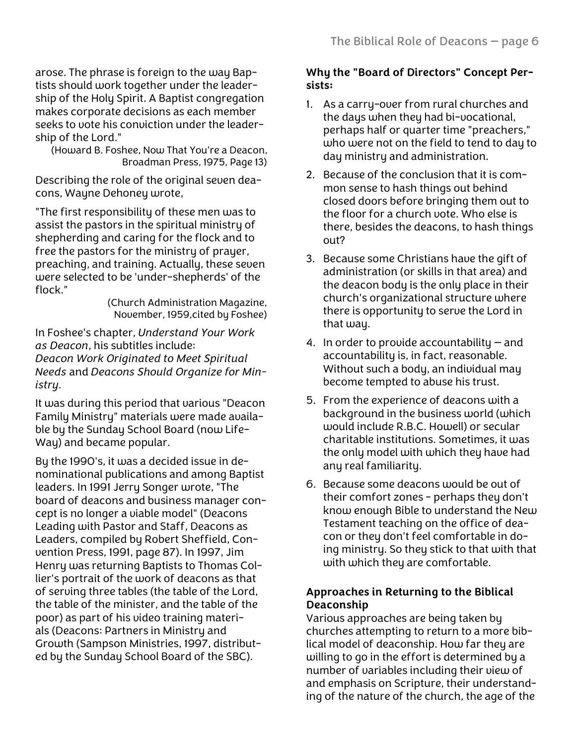arose. The phrase is foreign to the way Baptists should work together under the leadership of the Holy Spirit. A Baptist congregation makes corporate decisions as each member seeks to vote his conviction under the leadership of the Lord."

(Howard B. Foshee, Now That You're a Deacon, Broadman Press, 1975, Page 13)

Describing the role of the original seven deacons, Wayne Dehoney wrote,

"The first responsibility of these men was to assist the pastors in the spiritual ministry of shepherding and caring for the flock and to free the pastors for the ministry of prayer, preaching, and training. Actually, these seven were selected to be 'under-shepherds' of the flock."

(Church Administration Magazine, November, 1959,cited by Foshee)

In Foshee's chapter, *Understand Your Work as Deacon*, his subtitles include: *Deacon Work Originated to Meet Spiritual Needs* and *Deacons Should Organize for Ministry.*

It was during this period that various "Deacon Family Ministry" materials were made available by the Sunday School Board (now Life-Way) and became popular.

By the 1990's, it was a decided issue in denominational publications and among Baptist leaders. In 1991 Jerry Songer wrote, "The board of deacons and business manager concept is no longer a viable model" (Deacons Leading with Pastor and Staff, Deacons as Leaders, compiled by Robert Sheffield, Convention Press, 1991, page 87). In 1997, Jim Henry was returning Baptists to Thomas Collier's portrait of the work of deacons as that of serving three tables (the table of the Lord, the table of the minister, and the table of the poor) as part of his video training materials (Deacons: Partners in Ministry and Growth (Sampson Ministries, 1997, distributed by the Sunday School Board of the SBC).

### **Why the "Board of Directors" Concept Persists:**

- 1. As a carry-over from rural churches and the days when they had bi-vocational, perhaps half or quarter time "preachers," who were not on the field to tend to day to day ministry and administration.
- 2. Because of the conclusion that it is common sense to hash things out behind closed doors before bringing them out to the floor for a church vote. Who else is there, besides the deacons, to hash things out?
- 3. Because some Christians have the gift of administration (or skills in that area) and the deacon body is the only place in their church's organizational structure where there is opportunity to serve the Lord in that way.
- 4. In order to provide accountability  $-$  and accountability is, in fact, reasonable. Without such a body, an individual may become tempted to abuse his trust.
- 5. From the experience of deacons with a background in the business world (which would include R.B.C. Howell) or secular charitable institutions. Sometimes, it was the only model with which they have had any real familiarity.
- 6. Because some deacons would be out of their comfort zones - perhaps they don't know enough Bible to understand the New Testament teaching on the office of deacon or they don't feel comfortable in doing ministry. So they stick to that with that with which they are comfortable.

### **Approaches in Returning to the Biblical Deaconship**

Various approaches are being taken by churches attempting to return to a more biblical model of deaconship. How far they are willing to go in the effort is determined by a number of variables including their view of and emphasis on Scripture, their understanding of the nature of the church, the age of the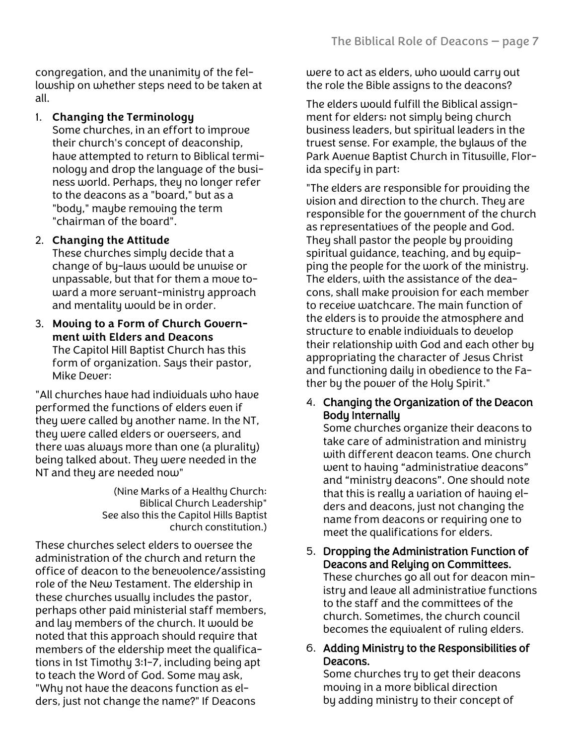congregation, and the unanimity of the fellowship on whether steps need to be taken at all.

### 1. **Changing the Terminology**

Some churches, in an effort to improve their church's concept of deaconship, have attempted to return to Biblical terminology and drop the language of the business world. Perhaps, they no longer refer to the deacons as a "board," but as a "body," maybe removing the term "chairman of the board".

#### 2. **Changing the Attitude**

These churches simply decide that a change of by-laws would be unwise or unpassable, but that for them a move toward a more servant-ministry approach and mentality would be in order.

3. **Moving to a Form of Church Government with Elders and Deacons** The Capitol Hill Baptist Church has this form of organization. Says their pastor, Mike Dever:

"All churches have had individuals who have performed the functions of elders even if they were called by another name. In the NT, they were called elders or overseers, and there was always more than one (a plurality) being talked about. They were needed in the NT and they are needed now"

> (Nine Marks of a Healthy Church: Biblical Church Leadership" See also this the Capitol Hills Baptist church constitution.)

These churches select elders to oversee the administration of the church and return the office of deacon to the benevolence/assisting role of the New Testament. The eldership in these churches usually includes the pastor, perhaps other paid ministerial staff members, and lay members of the church. It would be noted that this approach should require that members of the eldership meet the qualifications in 1st Timothy 3:1-7, including being apt to teach the Word of God. Some may ask, "Why not have the deacons function as elders, just not change the name?" If Deacons

were to act as elders, who would carry out the role the Bible assigns to the deacons?

The elders would fulfill the Biblical assignment for elders; not simply being church business leaders, but spiritual leaders in the truest sense. For example, the bylaws of the Park Avenue Baptist Church in Titusville, Florida specify in part:

"The elders are responsible for providing the vision and direction to the church. They are responsible for the government of the church as representatives of the people and God. They shall pastor the people by providing spiritual guidance, teaching, and by equipping the people for the work of the ministry. The elders, with the assistance of the deacons, shall make provision for each member to receive watchcare. The main function of the elders is to provide the atmosphere and structure to enable individuals to develop their relationship with God and each other by appropriating the character of Jesus Christ and functioning daily in obedience to the Father by the power of the Holy Spirit."

4. Changing the Organization of the Deacon Body Internally

Some churches organize their deacons to take care of administration and ministry with different deacon teams. One church went to having "administrative deacons" and "ministry deacons". One should note that this is really a variation of having elders and deacons, just not changing the name from deacons or requiring one to meet the qualifications for elders.

- 5. Dropping the Administration Function of Deacons and Relying on Committees. These churches go all out for deacon ministry and leave all administrative functions to the staff and the committees of the church. Sometimes, the church council becomes the equivalent of ruling elders.
- 6. Adding Ministry to the Responsibilities of Deacons.

Some churches try to get their deacons moving in a more biblical direction by adding ministry to their concept of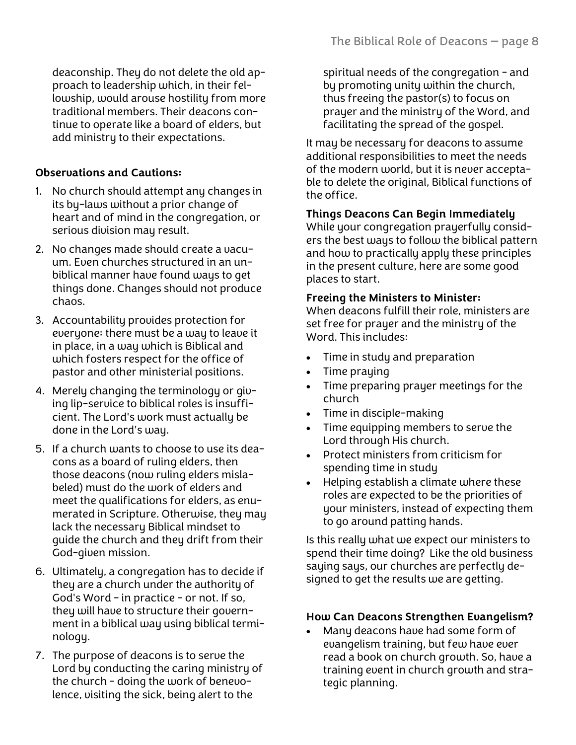deaconship. They do not delete the old approach to leadership which, in their fellowship, would arouse hostility from more traditional members. Their deacons continue to operate like a board of elders, but add ministry to their expectations.

# **Observations and Cautions:**

- 1. No church should attempt any changes in its by-laws without a prior change of heart and of mind in the congregation, or serious division may result.
- 2. No changes made should create a vacuum. Even churches structured in an unbiblical manner have found ways to get things done. Changes should not produce chaos.
- 3. Accountability provides protection for everyone; there must be a way to leave it in place, in a way which is Biblical and which fosters respect for the office of pastor and other ministerial positions.
- 4. Merely changing the terminology or giving lip-service to biblical roles is insufficient. The Lord's work must actually be done in the Lord's way.
- 5. If a church wants to choose to use its deacons as a board of ruling elders, then those deacons (now ruling elders mislabeled) must do the work of elders and meet the qualifications for elders, as enumerated in Scripture. Otherwise, they may lack the necessary Biblical mindset to guide the church and they drift from their God-given mission.
- 6. Ultimately, a congregation has to decide if they are a church under the authority of God's Word - in practice - or not. If so, they will have to structure their government in a biblical way using biblical terminology.
- 7. The purpose of deacons is to serve the Lord by conducting the caring ministry of the church - doing the work of benevolence, visiting the sick, being alert to the

spiritual needs of the congregation - and by promoting unity within the church, thus freeing the pastor(s) to focus on prayer and the ministry of the Word, and facilitating the spread of the gospel.

It may be necessary for deacons to assume additional responsibilities to meet the needs of the modern world, but it is never acceptable to delete the original, Biblical functions of the office.

# **Things Deacons Can Begin Immediately**

While your congregation prayerfully considers the best ways to follow the biblical pattern and how to practically apply these principles in the present culture, here are some good places to start.

# **Freeing the Ministers to Minister:**

When deacons fulfill their role, ministers are set free for prayer and the ministry of the Word. This includes:

- Time in study and preparation
- Time praying
- Time preparing prayer meetings for the church
- Time in disciple-making
- Time equipping members to serve the Lord through His church.
- Protect ministers from criticism for spending time in study
- Helping establish a climate where these roles are expected to be the priorities of your ministers, instead of expecting them to go around patting hands.

Is this really what we expect our ministers to spend their time doing? Like the old business saying says, our churches are perfectly designed to get the results we are getting.

# **How Can Deacons Strengthen Evangelism?**

• Many deacons have had some form of evangelism training, but few have ever read a book on church growth. So, have a training event in church growth and strategic planning.